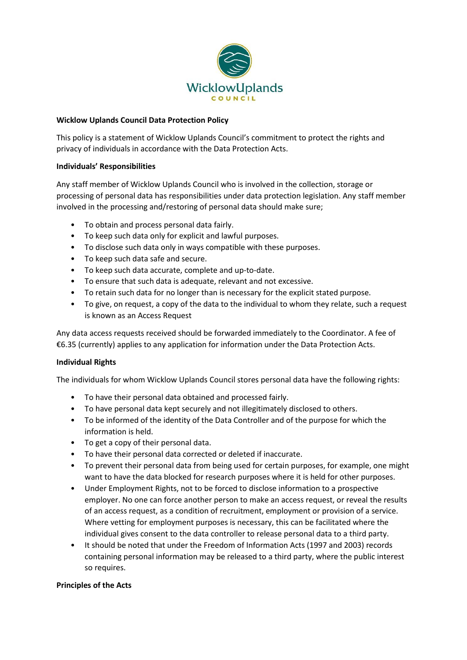

### **Wicklow Uplands Council Data Protection Policy**

This policy is a statement of Wicklow Uplands Council's commitment to protect the rights and privacy of individuals in accordance with the Data Protection Acts.

### **Individuals' Responsibilities**

Any staff member of Wicklow Uplands Council who is involved in the collection, storage or processing of personal data has responsibilities under data protection legislation. Any staff member involved in the processing and/restoring of personal data should make sure;

- To obtain and process personal data fairly.
- To keep such data only for explicit and lawful purposes.
- To disclose such data only in ways compatible with these purposes.
- To keep such data safe and secure.
- To keep such data accurate, complete and up-to-date.
- To ensure that such data is adequate, relevant and not excessive.
- To retain such data for no longer than is necessary for the explicit stated purpose.
- To give, on request, a copy of the data to the individual to whom they relate, such a request is known as an Access Request

Any data access requests received should be forwarded immediately to the Coordinator. A fee of €6.35 (currently) applies to any application for information under the Data Protection Acts.

# **Individual Rights**

The individuals for whom Wicklow Uplands Council stores personal data have the following rights:

- To have their personal data obtained and processed fairly.
- To have personal data kept securely and not illegitimately disclosed to others.
- To be informed of the identity of the Data Controller and of the purpose for which the information is held.
- To get a copy of their personal data.
- To have their personal data corrected or deleted if inaccurate.
- To prevent their personal data from being used for certain purposes, for example, one might want to have the data blocked for research purposes where it is held for other purposes.
- Under Employment Rights, not to be forced to disclose information to a prospective employer. No one can force another person to make an access request, or reveal the results of an access request, as a condition of recruitment, employment or provision of a service. Where vetting for employment purposes is necessary, this can be facilitated where the individual gives consent to the data controller to release personal data to a third party.
- It should be noted that under the Freedom of Information Acts (1997 and 2003) records containing personal information may be released to a third party, where the public interest so requires.

# **Principles of the Acts**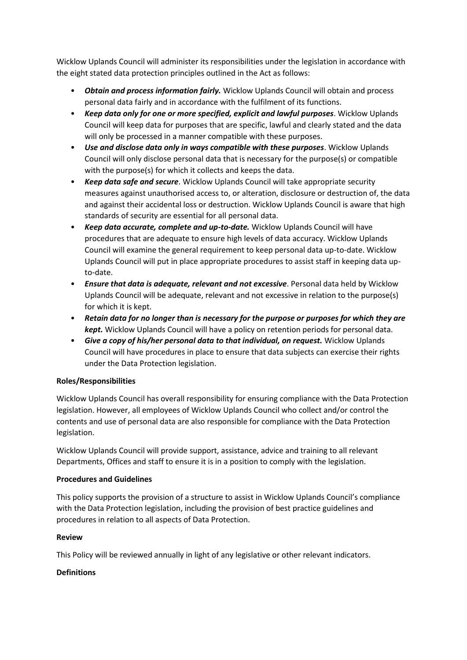Wicklow Uplands Council will administer its responsibilities under the legislation in accordance with the eight stated data protection principles outlined in the Act as follows:

- *Obtain and process information fairly.* Wicklow Uplands Council will obtain and process personal data fairly and in accordance with the fulfilment of its functions.
- *Keep data only for one or more specified, explicit and lawful purposes*. Wicklow Uplands Council will keep data for purposes that are specific, lawful and clearly stated and the data will only be processed in a manner compatible with these purposes.
- *Use and disclose data only in ways compatible with these purposes*. Wicklow Uplands Council will only disclose personal data that is necessary for the purpose(s) or compatible with the purpose(s) for which it collects and keeps the data.
- *Keep data safe and secure*. Wicklow Uplands Council will take appropriate security measures against unauthorised access to, or alteration, disclosure or destruction of, the data and against their accidental loss or destruction. Wicklow Uplands Council is aware that high standards of security are essential for all personal data.
- *Keep data accurate, complete and up-to-date.* Wicklow Uplands Council will have procedures that are adequate to ensure high levels of data accuracy. Wicklow Uplands Council will examine the general requirement to keep personal data up-to-date. Wicklow Uplands Council will put in place appropriate procedures to assist staff in keeping data upto-date.
- *Ensure that data is adequate, relevant and not excessive*. Personal data held by Wicklow Uplands Council will be adequate, relevant and not excessive in relation to the purpose(s) for which it is kept.
- *Retain data for no longer than is necessary for the purpose or purposes for which they are kept.* Wicklow Uplands Council will have a policy on retention periods for personal data.
- *Give a copy of his/her personal data to that individual, on request.* Wicklow Uplands Council will have procedures in place to ensure that data subjects can exercise their rights under the Data Protection legislation.

# **Roles/Responsibilities**

Wicklow Uplands Council has overall responsibility for ensuring compliance with the Data Protection legislation. However, all employees of Wicklow Uplands Council who collect and/or control the contents and use of personal data are also responsible for compliance with the Data Protection legislation.

Wicklow Uplands Council will provide support, assistance, advice and training to all relevant Departments, Offices and staff to ensure it is in a position to comply with the legislation.

# **Procedures and Guidelines**

This policy supports the provision of a structure to assist in Wicklow Uplands Council's compliance with the Data Protection legislation, including the provision of best practice guidelines and procedures in relation to all aspects of Data Protection.

# **Review**

This Policy will be reviewed annually in light of any legislative or other relevant indicators.

# **Definitions**